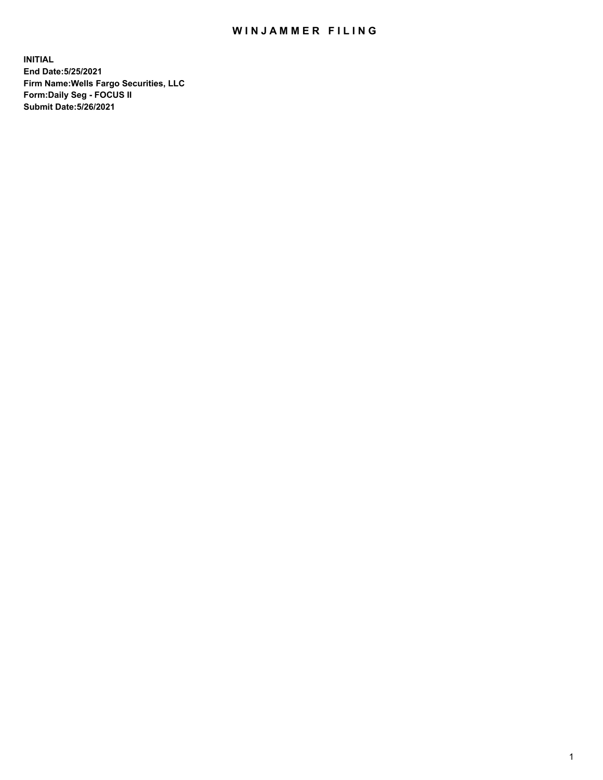## WIN JAMMER FILING

**INITIAL End Date:5/25/2021 Firm Name:Wells Fargo Securities, LLC Form:Daily Seg - FOCUS II Submit Date:5/26/2021**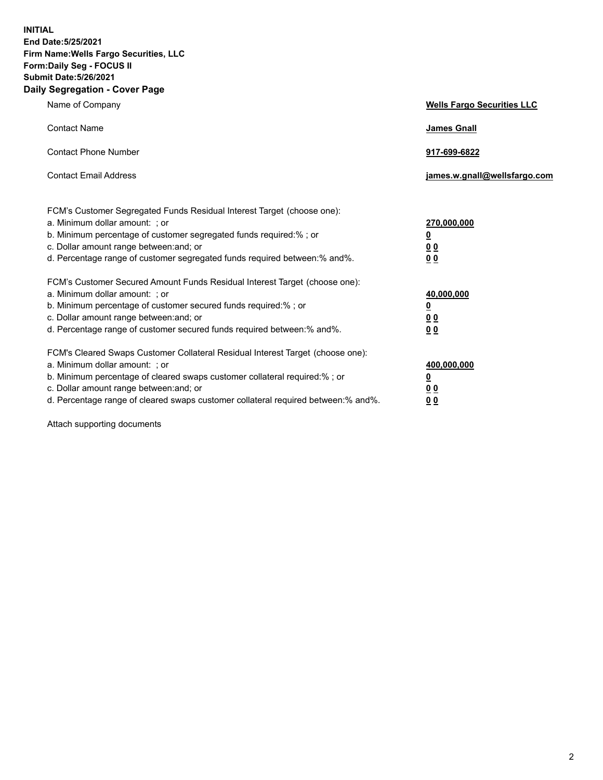**INITIAL End Date:5/25/2021 Firm Name:Wells Fargo Securities, LLC Form:Daily Seg - FOCUS II Submit Date:5/26/2021 Daily Segregation - Cover Page**

| Name of Company                                                                                                                                                                                                                                                                                                                | <b>Wells Fargo Securities LLC</b>                                         |
|--------------------------------------------------------------------------------------------------------------------------------------------------------------------------------------------------------------------------------------------------------------------------------------------------------------------------------|---------------------------------------------------------------------------|
| <b>Contact Name</b>                                                                                                                                                                                                                                                                                                            | <b>James Gnall</b>                                                        |
| <b>Contact Phone Number</b>                                                                                                                                                                                                                                                                                                    | 917-699-6822                                                              |
| <b>Contact Email Address</b>                                                                                                                                                                                                                                                                                                   | james.w.gnall@wellsfargo.com                                              |
| FCM's Customer Segregated Funds Residual Interest Target (choose one):<br>a. Minimum dollar amount: ; or<br>b. Minimum percentage of customer segregated funds required:% ; or<br>c. Dollar amount range between: and; or<br>d. Percentage range of customer segregated funds required between:% and%.                         | 270,000,000<br>$\overline{\mathbf{0}}$<br>0 <sub>0</sub><br>00            |
| FCM's Customer Secured Amount Funds Residual Interest Target (choose one):<br>a. Minimum dollar amount: ; or<br>b. Minimum percentage of customer secured funds required:%; or<br>c. Dollar amount range between: and; or<br>d. Percentage range of customer secured funds required between:% and%.                            | 40,000,000<br>$\overline{\mathbf{0}}$<br>0 <sub>0</sub><br>0 <sub>0</sub> |
| FCM's Cleared Swaps Customer Collateral Residual Interest Target (choose one):<br>a. Minimum dollar amount: ; or<br>b. Minimum percentage of cleared swaps customer collateral required:% ; or<br>c. Dollar amount range between: and; or<br>d. Percentage range of cleared swaps customer collateral required between:% and%. | 400,000,000<br><u>0</u><br>00<br>00                                       |

Attach supporting documents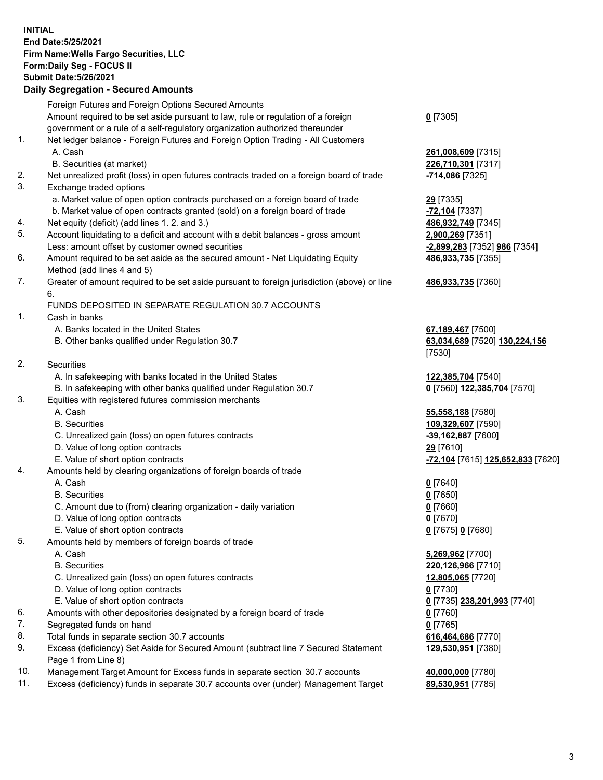**INITIAL End Date:5/25/2021 Firm Name:Wells Fargo Securities, LLC Form:Daily Seg - FOCUS II Submit Date:5/26/2021**

## **Daily Segregation - Secured Amounts**

|    | Foreign Futures and Foreign Options Secured Amounts                                         |                                                |
|----|---------------------------------------------------------------------------------------------|------------------------------------------------|
|    | Amount required to be set aside pursuant to law, rule or regulation of a foreign            | $0$ [7305]                                     |
|    | government or a rule of a self-regulatory organization authorized thereunder                |                                                |
| 1. | Net ledger balance - Foreign Futures and Foreign Option Trading - All Customers             |                                                |
|    | A. Cash                                                                                     | 261,008,609 [7315]                             |
|    | B. Securities (at market)                                                                   | 226,710,301 [7317]                             |
| 2. | Net unrealized profit (loss) in open futures contracts traded on a foreign board of trade   | -714,086 [7325]                                |
| 3. | Exchange traded options                                                                     |                                                |
|    | a. Market value of open option contracts purchased on a foreign board of trade              | 29 [7335]                                      |
|    | b. Market value of open contracts granted (sold) on a foreign board of trade                | <b>-72,104</b> [7337]                          |
| 4. | Net equity (deficit) (add lines 1. 2. and 3.)                                               | 486,932,749 [7345]                             |
| 5. | Account liquidating to a deficit and account with a debit balances - gross amount           | 2,900,269 [7351]                               |
|    | Less: amount offset by customer owned securities                                            | -2,899,283 [7352] 986 [7354]                   |
| 6. | Amount required to be set aside as the secured amount - Net Liquidating Equity              | 486,933,735 [7355]                             |
|    | Method (add lines 4 and 5)                                                                  |                                                |
| 7. | Greater of amount required to be set aside pursuant to foreign jurisdiction (above) or line | 486,933,735 [7360]                             |
|    | 6.                                                                                          |                                                |
|    | FUNDS DEPOSITED IN SEPARATE REGULATION 30.7 ACCOUNTS                                        |                                                |
| 1. | Cash in banks                                                                               |                                                |
|    | A. Banks located in the United States                                                       | 67,189,467 [7500]                              |
|    | B. Other banks qualified under Regulation 30.7                                              | 63,034,689 [7520] 130,224,156                  |
|    |                                                                                             | [7530]                                         |
| 2. | <b>Securities</b>                                                                           |                                                |
|    | A. In safekeeping with banks located in the United States                                   | 122,385,704 [7540]                             |
|    | B. In safekeeping with other banks qualified under Regulation 30.7                          | 0 [7560] 122,385,704 [7570]                    |
| 3. | Equities with registered futures commission merchants                                       |                                                |
|    | A. Cash                                                                                     | 55,558,188 [7580]                              |
|    | <b>B.</b> Securities                                                                        | 109,329,607 [7590]                             |
|    | C. Unrealized gain (loss) on open futures contracts                                         | -39,162,887 [7600]                             |
|    | D. Value of long option contracts                                                           | 29 [7610]                                      |
|    | E. Value of short option contracts                                                          | <mark>-72,104</mark> [7615] 125,652,833 [7620] |
| 4. | Amounts held by clearing organizations of foreign boards of trade                           |                                                |
|    | A. Cash                                                                                     | $0$ [7640]                                     |
|    | <b>B.</b> Securities                                                                        | $0$ [7650]                                     |
|    | C. Amount due to (from) clearing organization - daily variation                             | $0$ [7660]                                     |
|    | D. Value of long option contracts                                                           | $0$ [7670]                                     |
|    | E. Value of short option contracts                                                          | 0 [7675] 0 [7680]                              |
| 5. | Amounts held by members of foreign boards of trade                                          |                                                |
|    | A. Cash                                                                                     | 5,269,962 [7700]                               |
|    | <b>B.</b> Securities                                                                        | 220,126,966 [7710]                             |
|    | C. Unrealized gain (loss) on open futures contracts                                         | 12,805,065 [7720]                              |
|    | D. Value of long option contracts                                                           | $0$ [7730]                                     |
|    | E. Value of short option contracts                                                          |                                                |
| 6. | Amounts with other depositories designated by a foreign board of trade                      | 0 [7735] 238,201,993 [7740]                    |
| 7. | Segregated funds on hand                                                                    | $0$ [7760]<br>$0$ [7765]                       |
| 8. | Total funds in separate section 30.7 accounts                                               |                                                |
| 9. | Excess (deficiency) Set Aside for Secured Amount (subtract line 7 Secured Statement         | 616,464,686 [7770]<br>129,530,951 [7380]       |
|    | Page 1 from Line 8)                                                                         |                                                |
|    |                                                                                             |                                                |

- 10. Management Target Amount for Excess funds in separate section 30.7 accounts **40,000,000** [7780]
- 11. Excess (deficiency) funds in separate 30.7 accounts over (under) Management Target **89,530,951** [7785]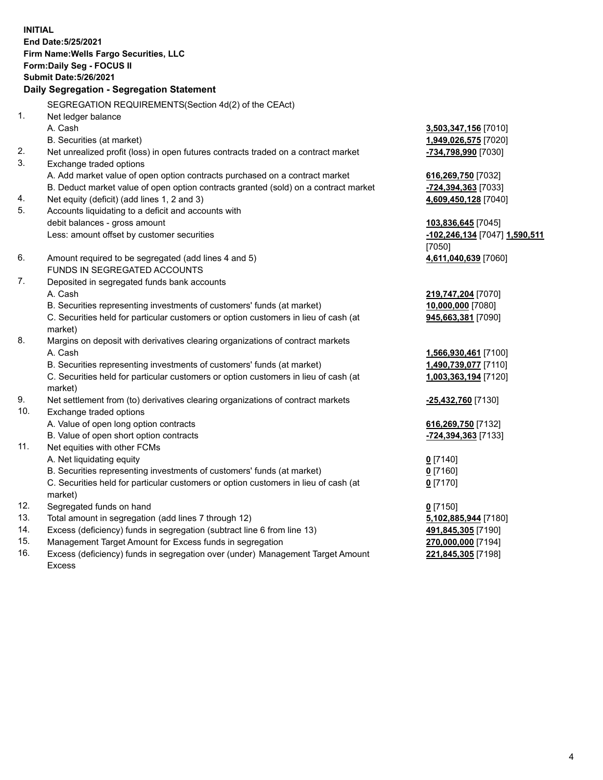**INITIAL End Date:5/25/2021 Firm Name:Wells Fargo Securities, LLC Form:Daily Seg - FOCUS II Submit Date:5/26/2021**

## **Daily Segregation - Segregation Statement**

SEGREGATION REQUIREMENTS(Section 4d(2) of the CEAct)

|     | SEGNEGATION NEQUINEMENTS(SEGION 40(2) OF THE CEAGO                                  |                               |
|-----|-------------------------------------------------------------------------------------|-------------------------------|
| 1.  | Net ledger balance                                                                  |                               |
|     | A. Cash                                                                             | 3,503,347,156 [7010]          |
|     | B. Securities (at market)                                                           | 1,949,026,575 [7020]          |
| 2.  | Net unrealized profit (loss) in open futures contracts traded on a contract market  | -734,798,990 [7030]           |
| 3.  | Exchange traded options                                                             |                               |
|     | A. Add market value of open option contracts purchased on a contract market         | 616,269,750 [7032]            |
|     | B. Deduct market value of open option contracts granted (sold) on a contract market | -724,394,363 [7033]           |
| 4.  | Net equity (deficit) (add lines 1, 2 and 3)                                         | 4,609,450,128 [7040]          |
| 5.  | Accounts liquidating to a deficit and accounts with                                 |                               |
|     | debit balances - gross amount                                                       | 103,836,645 [7045]            |
|     | Less: amount offset by customer securities                                          | -102,246,134 [7047] 1,590,511 |
|     |                                                                                     | [7050]                        |
| 6.  | Amount required to be segregated (add lines 4 and 5)                                | 4,611,040,639 [7060]          |
|     | FUNDS IN SEGREGATED ACCOUNTS                                                        |                               |
| 7.  | Deposited in segregated funds bank accounts                                         |                               |
|     | A. Cash                                                                             | 219,747,204 [7070]            |
|     | B. Securities representing investments of customers' funds (at market)              | 10,000,000 [7080]             |
|     | C. Securities held for particular customers or option customers in lieu of cash (at | 945,663,381 [7090]            |
|     | market)                                                                             |                               |
| 8.  | Margins on deposit with derivatives clearing organizations of contract markets      |                               |
|     | A. Cash                                                                             | 1,566,930,461 [7100]          |
|     | B. Securities representing investments of customers' funds (at market)              | 1,490,739,077 [7110]          |
|     | C. Securities held for particular customers or option customers in lieu of cash (at | 1,003,363,194 [7120]          |
|     | market)                                                                             |                               |
| 9.  | Net settlement from (to) derivatives clearing organizations of contract markets     | -25,432,760 [7130]            |
| 10. | Exchange traded options                                                             |                               |
|     | A. Value of open long option contracts                                              | 616,269,750 [7132]            |
|     | B. Value of open short option contracts                                             | <u>-724,394,363</u> [7133]    |
| 11. | Net equities with other FCMs                                                        |                               |
|     | A. Net liquidating equity                                                           | $0$ [7140]                    |
|     | B. Securities representing investments of customers' funds (at market)              | $0$ [7160]                    |
|     | C. Securities held for particular customers or option customers in lieu of cash (at | $0$ [7170]                    |
|     | market)                                                                             |                               |
| 12. | Segregated funds on hand                                                            | $0$ [7150]                    |
| 13. | Total amount in segregation (add lines 7 through 12)                                | 5,102,885,944 [7180]          |
| 14. | Excess (deficiency) funds in segregation (subtract line 6 from line 13)             | 491,845,305 [7190]            |
| 15. | Management Target Amount for Excess funds in segregation                            | 270,000,000 [7194]            |
| 16. | Excess (deficiency) funds in segregation over (under) Management Target Amount      | 221,845,305 [7198]            |
|     | <b>Excess</b>                                                                       |                               |